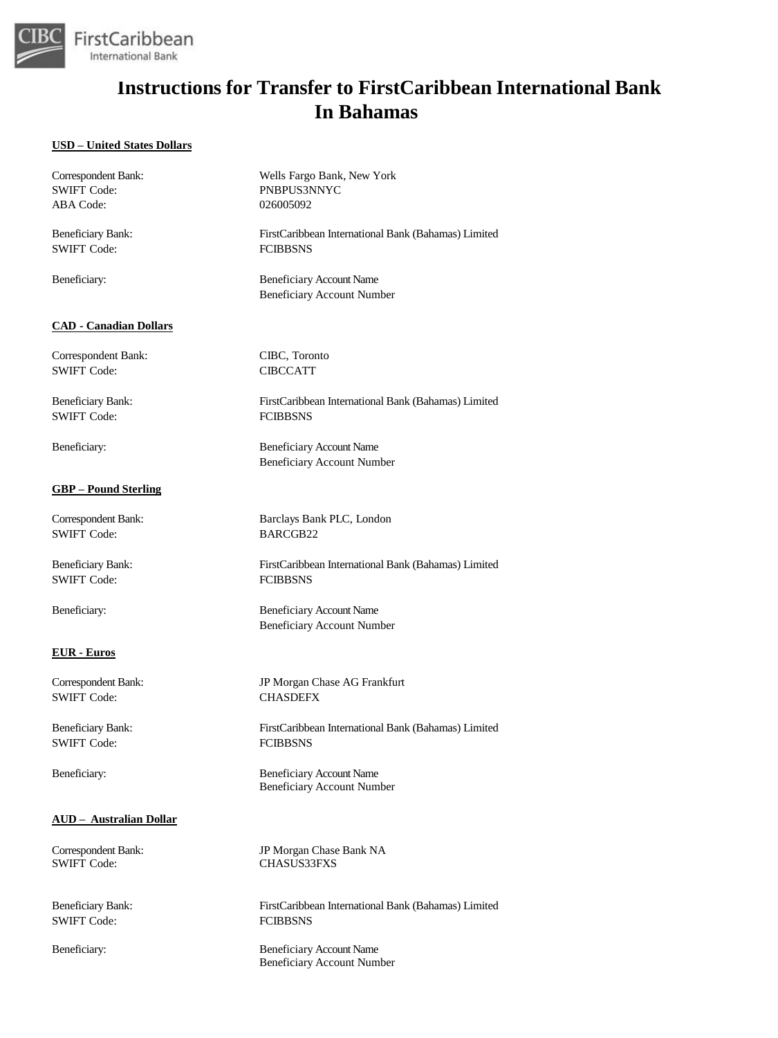

#### **USD – United States Dollars**

| Correspondent Bank:            | Wells Fargo Bank, New York                                           |
|--------------------------------|----------------------------------------------------------------------|
| <b>SWIFT Code:</b>             | PNBPUS3NNYC                                                          |
| ABA Code:                      | 026005092                                                            |
| <b>Beneficiary Bank:</b>       | FirstCaribbean International Bank (Bahamas) Limited                  |
| <b>SWIFT Code:</b>             | <b>FCIBBSNS</b>                                                      |
| Beneficiary:                   | <b>Beneficiary Account Name</b><br><b>Beneficiary Account Number</b> |
| <b>CAD - Canadian Dollars</b>  |                                                                      |
| Correspondent Bank:            | CIBC, Toronto                                                        |
| <b>SWIFT Code:</b>             | <b>CIBCCATT</b>                                                      |
| <b>Beneficiary Bank:</b>       | FirstCaribbean International Bank (Bahamas) Limited                  |
| <b>SWIFT Code:</b>             | <b>FCIBBSNS</b>                                                      |
| Beneficiary:                   | <b>Beneficiary Account Name</b><br><b>Beneficiary Account Number</b> |
| <u>GBP – Pound Sterling</u>    |                                                                      |
| Correspondent Bank:            | Barclays Bank PLC, London                                            |
| <b>SWIFT Code:</b>             | BARCGB22                                                             |
| <b>Beneficiary Bank:</b>       | FirstCaribbean International Bank (Bahamas) Limited                  |
| <b>SWIFT Code:</b>             | <b>FCIBBSNS</b>                                                      |
| Beneficiary:                   | <b>Beneficiary Account Name</b><br><b>Beneficiary Account Number</b> |
| <b>EUR</b> - Euros             |                                                                      |
| Correspondent Bank:            | JP Morgan Chase AG Frankfurt                                         |
| <b>SWIFT Code:</b>             | <b>CHASDEFX</b>                                                      |
| <b>Beneficiary Bank:</b>       | FirstCaribbean International Bank (Bahamas) Limited                  |
| SWIFT Code:                    | <b>FCIBBSNS</b>                                                      |
| Beneficiary:                   | <b>Beneficiary Account Name</b><br><b>Beneficiary Account Number</b> |
| <b>AUD</b> - Australian Dollar |                                                                      |
| Correspondent Bank:            | JP Morgan Chase Bank NA                                              |
| <b>SWIFT Code:</b>             | <b>CHASUS33FXS</b>                                                   |
| Beneficiary Bank:              | FirstCaribbean International Bank (Bahamas) Limited                  |
| <b>SWIFT Code:</b>             | <b>FCIBBSNS</b>                                                      |
| Beneficiary:                   | <b>Beneficiary Account Name</b><br><b>Beneficiary Account Number</b> |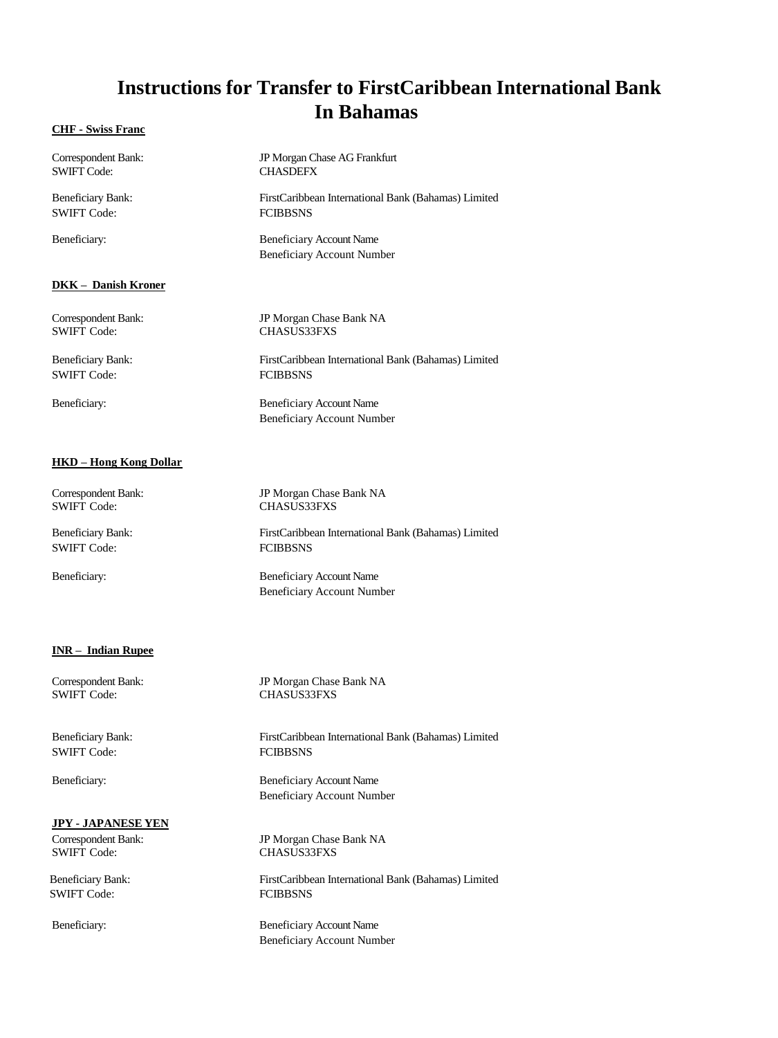#### **CHF - Swiss Franc**

| Correspondent Bank:      | JP Morgan Chase AG Frankfurt                                         |
|--------------------------|----------------------------------------------------------------------|
| <b>SWIFT Code:</b>       | <b>CHASDEFX</b>                                                      |
| <b>Beneficiary Bank:</b> | FirstCaribbean International Bank (Bahamas) Limited                  |
| <b>SWIFT Code:</b>       | <b>FCIBBSNS</b>                                                      |
| Beneficiary:             | <b>Beneficiary Account Name</b><br><b>Beneficiary Account Number</b> |
| DKK – Danish Kroner      |                                                                      |
| Correspondent Bank:      | JP Morgan Chase Bank NA                                              |
| <b>SWIFT Code:</b>       | <b>CHASUS33FXS</b>                                                   |
| <b>Beneficiary Bank:</b> | FirstCaribbean International Bank (Bahamas) Limited                  |
| <b>SWIFT Code:</b>       | <b>FCIBBSNS</b>                                                      |
| Beneficiary:             | <b>Beneficiary Account Name</b><br><b>Beneficiary Account Number</b> |

#### **HKD – Hong Kong Dollar**

| JP Morgan Chase Bank NA                             |
|-----------------------------------------------------|
| <b>CHASUS33FXS</b>                                  |
| FirstCaribbean International Bank (Bahamas) Limited |
| <b>FCIBBSNS</b>                                     |
| <b>Beneficiary Account Name</b>                     |
| <b>Beneficiary Account Number</b>                   |
|                                                     |

#### **INR – Indian Rupee**

Correspondent Bank: JP Morgan Chase Bank NA

Beneficiary Bank: FirstCaribbean International Bank (Bahamas) Limited SWIFT Code: FCIBBSNS

Beneficiary: Beneficiary Account Name Beneficiary Account Number

CHASUS33FXS

#### **JPY - JAPANESE YEN**

SWIFT Code: FCIBBSNS

Correspondent Bank: JP Morgan Chase Bank NA CHASUS33FXS

Beneficiary Bank: FirstCaribbean International Bank (Bahamas) Limited

Beneficiary: Beneficiary Account Name Beneficiary Account Number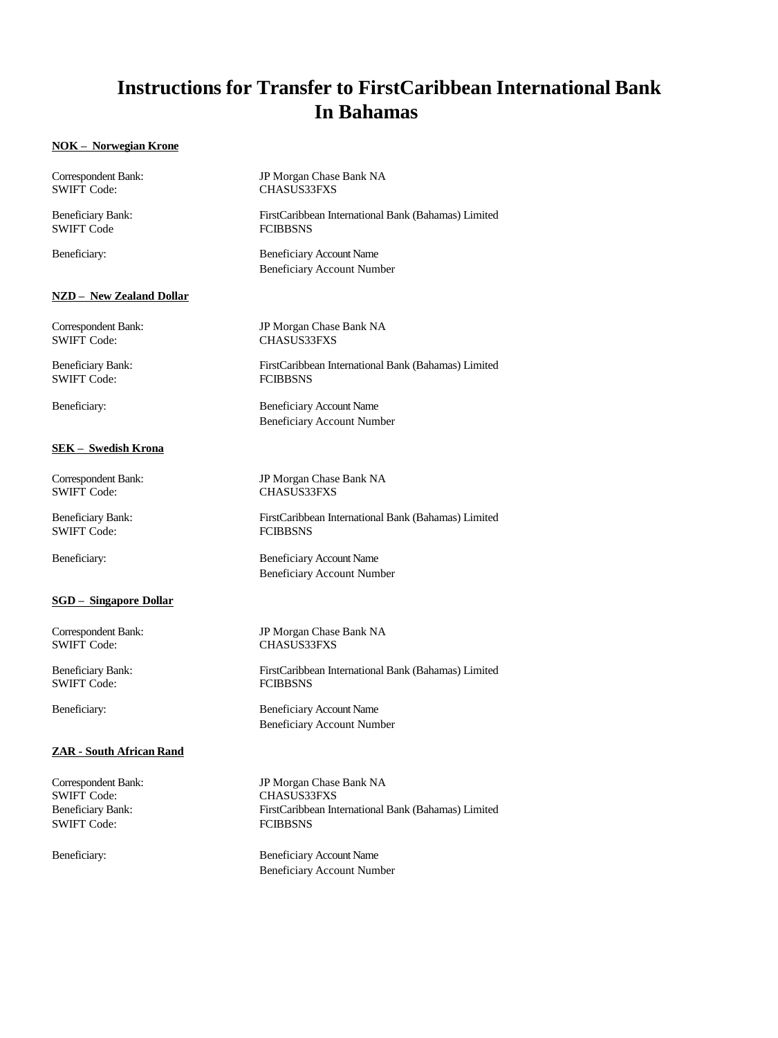### **NOK – Norwegian Krone**

| Correspondent Bank:           | JP Morgan Chase Bank NA                                              |
|-------------------------------|----------------------------------------------------------------------|
| <b>SWIFT Code:</b>            | <b>CHASUS33FXS</b>                                                   |
| <b>Beneficiary Bank:</b>      | FirstCaribbean International Bank (Bahamas) Limited                  |
| <b>SWIFT Code</b>             | <b>FCIBBSNS</b>                                                      |
| Beneficiary:                  | <b>Beneficiary Account Name</b><br><b>Beneficiary Account Number</b> |
| NZD – New Zealand Dollar      |                                                                      |
| Correspondent Bank:           | JP Morgan Chase Bank NA                                              |
| <b>SWIFT Code:</b>            | <b>CHASUS33FXS</b>                                                   |
| <b>Beneficiary Bank:</b>      | FirstCaribbean International Bank (Bahamas) Limited                  |
| <b>SWIFT Code:</b>            | <b>FCIBBSNS</b>                                                      |
| Beneficiary:                  | <b>Beneficiary Account Name</b><br><b>Beneficiary Account Number</b> |
| <u> SEK – Swedish Krona</u>   |                                                                      |
| Correspondent Bank:           | JP Morgan Chase Bank NA                                              |
| <b>SWIFT Code:</b>            | <b>CHASUS33FXS</b>                                                   |
| Beneficiary Bank:             | FirstCaribbean International Bank (Bahamas) Limited                  |
| <b>SWIFT Code:</b>            | <b>FCIBBSNS</b>                                                      |
| Beneficiary:                  | <b>Beneficiary Account Name</b><br><b>Beneficiary Account Number</b> |
| <b>SGD</b> - Singapore Dollar |                                                                      |
| Correspondent Bank:           | JP Morgan Chase Bank NA                                              |
| <b>SWIFT Code:</b>            | <b>CHASUS33FXS</b>                                                   |
| <b>Beneficiary Bank:</b>      | FirstCaribbean International Bank (Bahamas) Limited                  |
| <b>SWIFT Code:</b>            | <b>FCIBBSNS</b>                                                      |
| Beneficiary:                  | <b>Beneficiary Account Name</b><br><b>Beneficiary Account Number</b> |
| ZAR - South African Rand      |                                                                      |
| Correspondent Bank:           | JP Morgan Chase Bank NA                                              |
| <b>SWIFT Code:</b>            | <b>CHASUS33FXS</b>                                                   |
| <b>Beneficiary Bank:</b>      | FirstCaribbean International Bank (Bahamas) Limited                  |
| <b>SWIFT Code:</b>            | <b>FCIBBSNS</b>                                                      |
| Beneficiary:                  | <b>Beneficiary Account Name</b>                                      |

Beneficiary Account Number